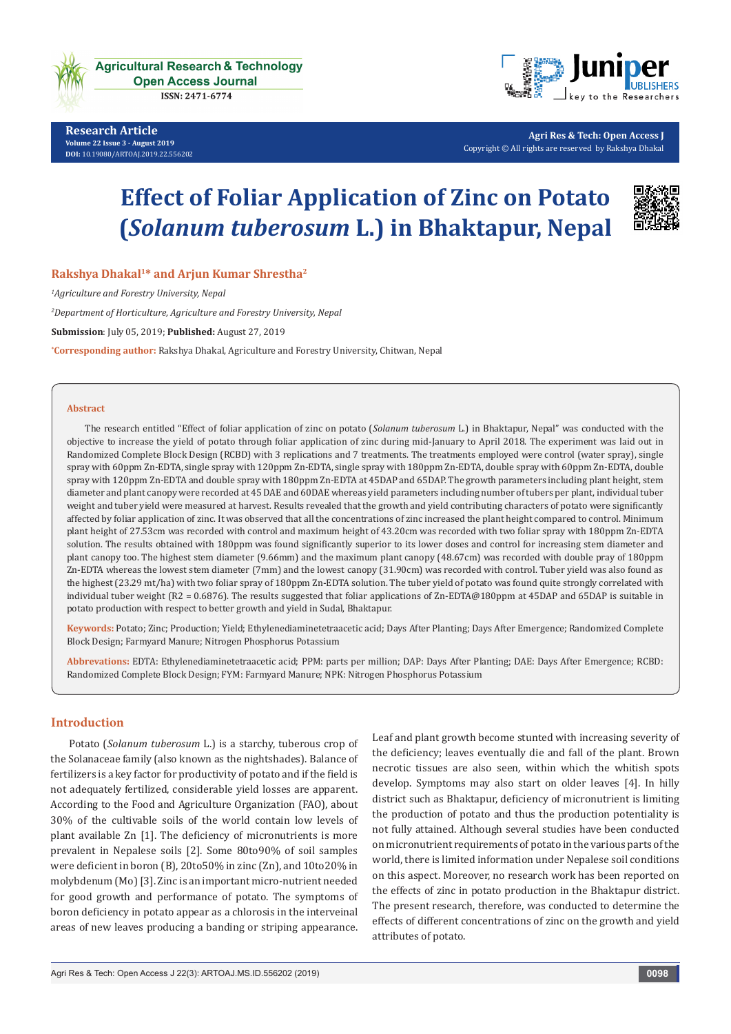

**Agricultural Research & Technology Open Access Journal** 

ISSN: 2471-6774

**Research Article Volume 22 Issue 3 - August 2019 [DOI:](http://dx.doi.org/10.19080/artoaj.2016.02.555590
)** [10.19080/ARTOAJ.2019.22.556202](http://dx.doi.org/10.19080/ARTOAJ.2019.22.556202)



**Agri Res & Tech: Open Access J** Copyright © All rights are reserved by Rakshya Dhakal

# **Effect of Foliar Application of Zinc on Potato (***Solanum tuberosum* **L.) in Bhaktapur, Nepal**



**Rakshya Dhakal1\* and Arjun Kumar Shrestha2**

*1 Agriculture and Forestry University, Nepal*

*2 Department of Horticulture, Agriculture and Forestry University, Nepal*

**Submission**: July 05, 2019; **Published:** August 27, 2019

**\* Corresponding author:** Rakshya Dhakal, Agriculture and Forestry University, Chitwan, Nepal

#### **Abstract**

The research entitled "Effect of foliar application of zinc on potato (*Solanum tuberosum* L.) in Bhaktapur, Nepal" was conducted with the objective to increase the yield of potato through foliar application of zinc during mid-January to April 2018. The experiment was laid out in Randomized Complete Block Design (RCBD) with 3 replications and 7 treatments. The treatments employed were control (water spray), single spray with 60ppm Zn-EDTA, single spray with 120ppm Zn-EDTA, single spray with 180ppm Zn-EDTA, double spray with 60ppm Zn-EDTA, double spray with 120ppm Zn-EDTA and double spray with 180ppm Zn-EDTA at 45DAP and 65DAP. The growth parameters including plant height, stem diameter and plant canopy were recorded at 45 DAE and 60DAE whereas yield parameters including number of tubers per plant, individual tuber weight and tuber yield were measured at harvest. Results revealed that the growth and yield contributing characters of potato were significantly affected by foliar application of zinc. It was observed that all the concentrations of zinc increased the plant height compared to control. Minimum plant height of 27.53cm was recorded with control and maximum height of 43.20cm was recorded with two foliar spray with 180ppm Zn-EDTA solution. The results obtained with 180ppm was found significantly superior to its lower doses and control for increasing stem diameter and plant canopy too. The highest stem diameter (9.66mm) and the maximum plant canopy (48.67cm) was recorded with double pray of 180ppm Zn-EDTA whereas the lowest stem diameter (7mm) and the lowest canopy (31.90cm) was recorded with control. Tuber yield was also found as the highest (23.29 mt/ha) with two foliar spray of 180ppm Zn-EDTA solution. The tuber yield of potato was found quite strongly correlated with individual tuber weight (R2 = 0.6876). The results suggested that foliar applications of Zn-EDTA@180ppm at 45DAP and 65DAP is suitable in potato production with respect to better growth and yield in Sudal, Bhaktapur.

**Keywords:** Potato; Zinc; Production; Yield; Ethylenediaminetetraacetic acid; Days After Planting; Days After Emergence; Randomized Complete Block Design; Farmyard Manure; Nitrogen Phosphorus Potassium

**Abbrevations:** EDTA: Ethylenediaminetetraacetic acid; PPM: parts per million; DAP: Days After Planting; DAE: Days After Emergence; RCBD: Randomized Complete Block Design; FYM: Farmyard Manure; NPK: Nitrogen Phosphorus Potassium

## **Introduction**

Potato (*Solanum tuberosum* L.) is a starchy, tuberous crop of the Solanaceae family (also known as the nightshades). Balance of fertilizers is a key factor for productivity of potato and if the field is not adequately fertilized, considerable yield losses are apparent. According to the Food and Agriculture Organization (FAO), about 30% of the cultivable soils of the world contain low levels of plant available Zn [1]. The deficiency of micronutrients is more prevalent in Nepalese soils [2]. Some 80to90% of soil samples were deficient in boron (B), 20to50% in zinc (Zn), and 10to20% in molybdenum (Mo) [3]. Zinc is an important micro-nutrient needed for good growth and performance of potato. The symptoms of boron deficiency in potato appear as a chlorosis in the interveinal areas of new leaves producing a banding or striping appearance.

Leaf and plant growth become stunted with increasing severity of the deficiency; leaves eventually die and fall of the plant. Brown necrotic tissues are also seen, within which the whitish spots develop. Symptoms may also start on older leaves [4]. In hilly district such as Bhaktapur, deficiency of micronutrient is limiting the production of potato and thus the production potentiality is not fully attained. Although several studies have been conducted on micronutrient requirements of potato in the various parts of the world, there is limited information under Nepalese soil conditions on this aspect. Moreover, no research work has been reported on the effects of zinc in potato production in the Bhaktapur district. The present research, therefore, was conducted to determine the effects of different concentrations of zinc on the growth and yield attributes of potato.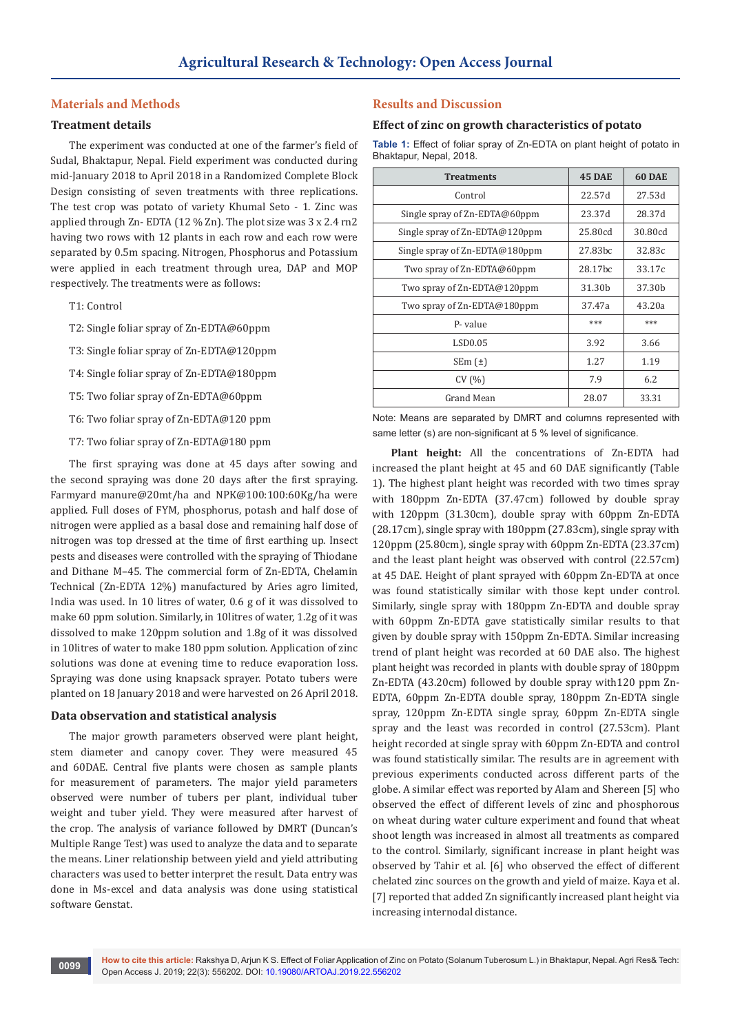## **Materials and Methods**

## **Treatment details**

The experiment was conducted at one of the farmer's field of Sudal, Bhaktapur, Nepal. Field experiment was conducted during mid-January 2018 to April 2018 in a Randomized Complete Block Design consisting of seven treatments with three replications. The test crop was potato of variety Khumal Seto - 1. Zinc was applied through Zn- EDTA (12 % Zn). The plot size was 3 x 2.4 rn2 having two rows with 12 plants in each row and each row were separated by 0.5m spacing. Nitrogen, Phosphorus and Potassium were applied in each treatment through urea, DAP and MOP respectively. The treatments were as follows:

- T1: Control
- T2: Single foliar spray of Zn-EDTA@60ppm
- T3: Single foliar spray of Zn-EDTA@120ppm
- T4: Single foliar spray of Zn-EDTA@180ppm
- T5: Two foliar spray of Zn-EDTA@60ppm
- T6: Two foliar spray of Zn-EDTA@120 ppm
- T7: Two foliar spray of Zn-EDTA@180 ppm

The first spraying was done at 45 days after sowing and the second spraying was done 20 days after the first spraying. Farmyard manure@20mt/ha and NPK@100:100:60Kg/ha were applied. Full doses of FYM, phosphorus, potash and half dose of nitrogen were applied as a basal dose and remaining half dose of nitrogen was top dressed at the time of first earthing up. Insect pests and diseases were controlled with the spraying of Thiodane and Dithane M–45. The commercial form of Zn-EDTA, Chelamin Technical (Zn-EDTA 12%) manufactured by Aries agro limited, India was used. In 10 litres of water, 0.6 g of it was dissolved to make 60 ppm solution. Similarly, in 10litres of water, 1.2g of it was dissolved to make 120ppm solution and 1.8g of it was dissolved in 10litres of water to make 180 ppm solution. Application of zinc solutions was done at evening time to reduce evaporation loss. Spraying was done using knapsack sprayer. Potato tubers were planted on 18 January 2018 and were harvested on 26 April 2018.

## **Data observation and statistical analysis**

The major growth parameters observed were plant height, stem diameter and canopy cover. They were measured 45 and 60DAE. Central five plants were chosen as sample plants for measurement of parameters. The major yield parameters observed were number of tubers per plant, individual tuber weight and tuber yield. They were measured after harvest of the crop. The analysis of variance followed by DMRT (Duncan's Multiple Range Test) was used to analyze the data and to separate the means. Liner relationship between yield and yield attributing characters was used to better interpret the result. Data entry was done in Ms-excel and data analysis was done using statistical software Genstat.

## **Results and Discussion**

#### **Effect of zinc on growth characteristics of potato**

**Table 1:** Effect of foliar spray of Zn-EDTA on plant height of potato in Bhaktapur, Nepal, 2018.

| <b>Treatments</b>              | <b>45 DAE</b>       | <b>60 DAE</b> |
|--------------------------------|---------------------|---------------|
| Control                        | 22.57d              | 27.53d        |
| Single spray of Zn-EDTA@60ppm  | 23.37d              | 28.37d        |
| Single spray of Zn-EDTA@120ppm | 25.80cd             | 30.80cd       |
| Single spray of Zn-EDTA@180ppm | 27.83 <sub>bc</sub> | 32.83c        |
| Two spray of Zn-EDTA@60ppm     | 28.17 <sub>bc</sub> | 33.17c        |
| Two spray of Zn-EDTA@120ppm    | 31.30b              | 37.30b        |
| Two spray of Zn-EDTA@180ppm    | 37.47a              | 43.20a        |
| P-value                        | ***                 | ***           |
| LSD0.05                        | 3.92                | 3.66          |
| $SEm(\pm)$                     | 1.27                | 1.19          |
| CV(%)                          | 7.9                 | 6.2           |
| Grand Mean                     | 28.07               | 33.31         |

Note: Means are separated by DMRT and columns represented with same letter (s) are non-significant at 5 % level of significance.

**Plant height:** All the concentrations of Zn-EDTA had increased the plant height at 45 and 60 DAE significantly (Table 1). The highest plant height was recorded with two times spray with 180ppm Zn-EDTA (37.47cm) followed by double spray with 120ppm (31.30cm), double spray with 60ppm Zn-EDTA (28.17cm), single spray with 180ppm (27.83cm), single spray with 120ppm (25.80cm), single spray with 60ppm Zn-EDTA (23.37cm) and the least plant height was observed with control (22.57cm) at 45 DAE. Height of plant sprayed with 60ppm Zn-EDTA at once was found statistically similar with those kept under control. Similarly, single spray with 180ppm Zn-EDTA and double spray with 60ppm Zn-EDTA gave statistically similar results to that given by double spray with 150ppm Zn-EDTA. Similar increasing trend of plant height was recorded at 60 DAE also. The highest plant height was recorded in plants with double spray of 180ppm Zn-EDTA (43.20cm) followed by double spray with120 ppm Zn-EDTA, 60ppm Zn-EDTA double spray, 180ppm Zn-EDTA single spray, 120ppm Zn-EDTA single spray, 60ppm Zn-EDTA single spray and the least was recorded in control (27.53cm). Plant height recorded at single spray with 60ppm Zn-EDTA and control was found statistically similar. The results are in agreement with previous experiments conducted across different parts of the globe. A similar effect was reported by Alam and Shereen [5] who observed the effect of different levels of zinc and phosphorous on wheat during water culture experiment and found that wheat shoot length was increased in almost all treatments as compared to the control. Similarly, significant increase in plant height was observed by Tahir et al. [6] who observed the effect of different chelated zinc sources on the growth and yield of maize. Kaya et al. [7] reported that added Zn significantly increased plant height via increasing internodal distance.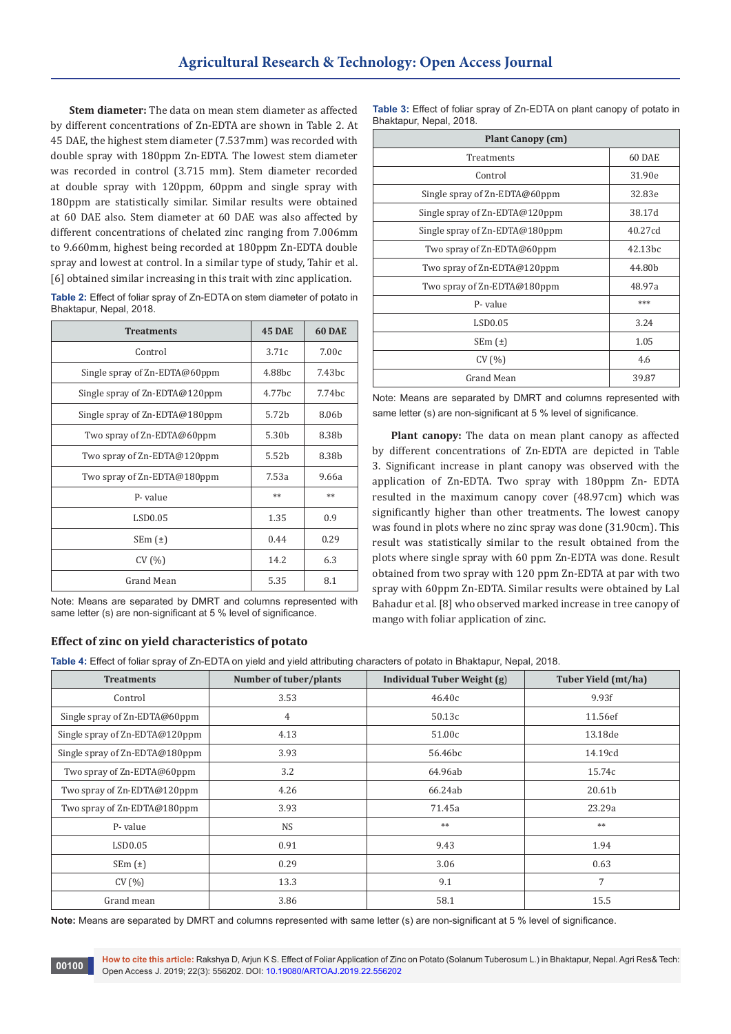**Stem diameter:** The data on mean stem diameter as affected by different concentrations of Zn-EDTA are shown in Table 2. At 45 DAE, the highest stem diameter (7.537mm) was recorded with double spray with 180ppm Zn-EDTA. The lowest stem diameter was recorded in control (3.715 mm). Stem diameter recorded at double spray with 120ppm, 60ppm and single spray with 180ppm are statistically similar. Similar results were obtained at 60 DAE also. Stem diameter at 60 DAE was also affected by different concentrations of chelated zinc ranging from 7.006mm to 9.660mm, highest being recorded at 180ppm Zn-EDTA double spray and lowest at control. In a similar type of study, Tahir et al. [6] obtained similar increasing in this trait with zinc application.

| Table 2: Effect of foliar spray of Zn-EDTA on stem diameter of potato in |
|--------------------------------------------------------------------------|
| Bhaktapur, Nepal, 2018.                                                  |

| <b>Treatments</b>              | <b>45 DAE</b>      | 60 DAE             |
|--------------------------------|--------------------|--------------------|
| Control                        | 3.71c              | 7.00c              |
| Single spray of Zn-EDTA@60ppm  | 4.88bc             | 7.43bc             |
| Single spray of Zn-EDTA@120ppm | 4.77 <sub>bc</sub> | 7.74 <sub>bc</sub> |
| Single spray of Zn-EDTA@180ppm | 5.72b              | 8.06b              |
| Two spray of Zn-EDTA@60ppm     | 5.30b              | 8.38b              |
| Two spray of Zn-EDTA@120ppm    | 5.52 <sub>b</sub>  | 8.38b              |
| Two spray of Zn-EDTA@180ppm    | 7.53a              | 9.66a              |
| P-value                        | **                 | $**$               |
| LSD0.05                        | 1.35               | 0.9                |
| SEM(t)                         | 0.44               | 0.29               |
| CV(%)                          | 14.2               | 6.3                |
| Grand Mean                     | 5.35               | 8.1                |

Note: Means are separated by DMRT and columns represented with same letter (s) are non-significant at 5 % level of significance.

| Effect of zinc on yield characteristics of potato |  |
|---------------------------------------------------|--|

**00100**

**Table 3:** Effect of foliar spray of Zn-EDTA on plant canopy of potato in Bhaktapur, Nepal, 2018.

| <b>Plant Canopy (cm)</b>       |                     |  |  |
|--------------------------------|---------------------|--|--|
| Treatments                     | 60 DAE              |  |  |
| Control                        | 31.90e              |  |  |
| Single spray of Zn-EDTA@60ppm  | 32.83e              |  |  |
| Single spray of Zn-EDTA@120ppm | 38.17d              |  |  |
| Single spray of Zn-EDTA@180ppm | 40.27cd             |  |  |
| Two spray of Zn-EDTA@60ppm     | 42.13 <sub>bc</sub> |  |  |
| Two spray of Zn-EDTA@120ppm    | 44.80 <sub>h</sub>  |  |  |
| Two spray of Zn-EDTA@180ppm    | 48.97a              |  |  |
| P-value                        | ***                 |  |  |
| <b>LSD0.05</b>                 | 3.24                |  |  |
| $SEm(\pm)$                     | 1.05                |  |  |
| CV(%)                          | 4.6                 |  |  |
| Grand Mean                     | 39.87               |  |  |

Note: Means are separated by DMRT and columns represented with same letter (s) are non-significant at 5 % level of significance.

**Plant canopy:** The data on mean plant canopy as affected by different concentrations of Zn-EDTA are depicted in Table 3. Significant increase in plant canopy was observed with the application of Zn-EDTA. Two spray with 180ppm Zn- EDTA resulted in the maximum canopy cover (48.97cm) which was significantly higher than other treatments. The lowest canopy was found in plots where no zinc spray was done (31.90cm). This result was statistically similar to the result obtained from the plots where single spray with 60 ppm Zn-EDTA was done. Result obtained from two spray with 120 ppm Zn-EDTA at par with two spray with 60ppm Zn-EDTA. Similar results were obtained by Lal Bahadur et al. [8] who observed marked increase in tree canopy of mango with foliar application of zinc.

**Table 4:** Effect of foliar spray of Zn-EDTA on yield and yield attributing characters of potato in Bhaktapur, Nepal, 2018.

| <b>Treatments</b>              | Number of tuber/plants | Individual Tuber Weight (g) | Tuber Yield (mt/ha) |
|--------------------------------|------------------------|-----------------------------|---------------------|
| Control                        | 3.53                   | 46.40c                      | 9.93f               |
| Single spray of Zn-EDTA@60ppm  | 4                      | 50.13c                      | 11.56ef             |
| Single spray of Zn-EDTA@120ppm | 4.13                   | 51.00c                      | 13.18de             |
| Single spray of Zn-EDTA@180ppm | 3.93                   | 56.46bc                     | 14.19cd             |
| Two spray of Zn-EDTA@60ppm     | 3.2                    | 64.96ab                     | 15.74c              |
| Two spray of Zn-EDTA@120ppm    | 4.26                   | 66.24ab                     | 20.61b              |
| Two spray of Zn-EDTA@180ppm    | 3.93                   | 71.45a                      | 23.29a              |
| P- value                       | <b>NS</b>              | $**$                        | $**$                |
| LSD0.05                        | 0.91                   | 9.43                        | 1.94                |
| $SEm(\pm)$                     | 0.29                   | 3.06                        | 0.63                |
| CV(%)                          | 13.3                   | 9.1                         | 7                   |
| Grand mean                     | 3.86                   | 58.1                        | 15.5                |

**Note:** Means are separated by DMRT and columns represented with same letter (s) are non-significant at 5 % level of significance.

**How to cite this article:** Rakshya D, Arjun K S. Effect of Foliar Application of Zinc on Potato (Solanum Tuberosum L.) in Bhaktapur, Nepal. Agri Res& Tech: Open Access J. 2019; 22(3): 556202. DOI: [10.19080/ARTOAJ.2019.22.556202](http://dx.doi.org/10.19080/ARTOAJ.2019.22.556202)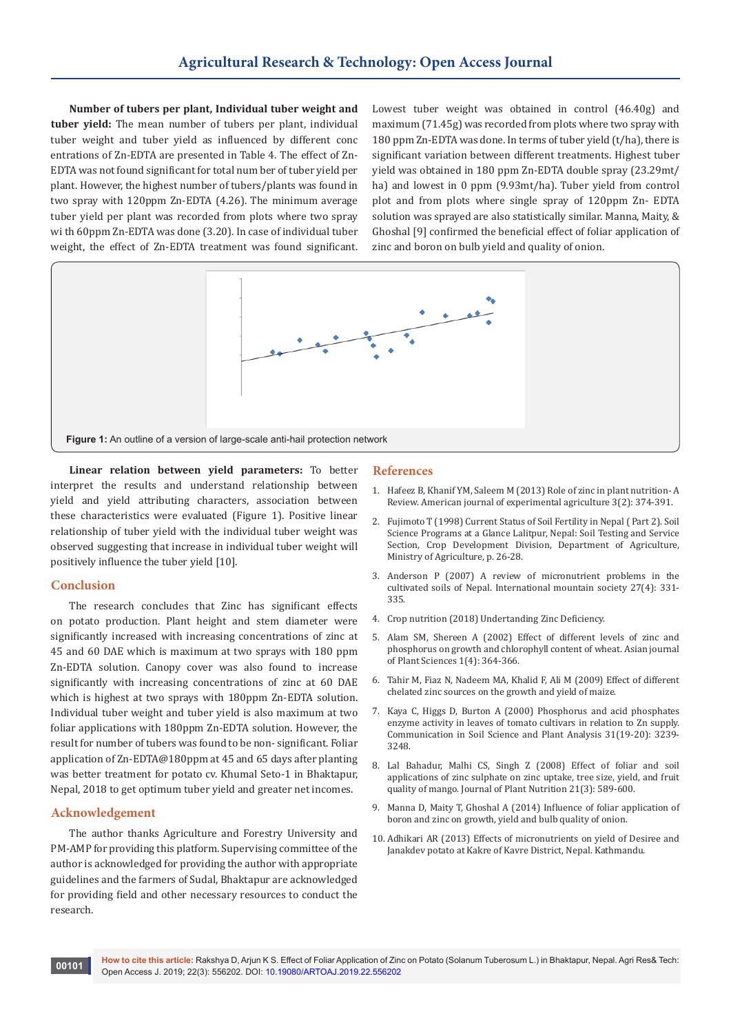**Number of tubers per plant, Individual tuber weight and tuber yield:** The mean number of tubers per plant, individual tuber weight and tuber yield as influenced by different conc entrations of Zn-EDTA are presented in Table 4. The effect of Zn-EDTA was not found significant for total num ber of tuber yield per plant. However, the highest number of tubers/plants was found in two spray with 120ppm Zn-EDTA (4.26). The minimum average tuber yield per plant was recorded from plots where two spray wi th 60ppm Zn-EDTA was done (3.20). In case of individual tuber weight, the effect of Zn-EDTA treatment was found significant.

Lowest tuber weight was obtained in control (46.40g) and maximum (71.45g) was recorded from plots where two spray with 180 ppm Zn-EDTA was done. In terms of tuber yield (t/ha), there is significant variation between different treatments. Highest tuber yield was obtained in 180 ppm Zn-EDTA double spray (23.29mt/ ha) and lowest in 0 ppm (9.93mt/ha). Tuber yield from control plot and from plots where single spray of 120ppm Zn- EDTA solution was sprayed are also statistically similar. Manna, Maity, & Ghoshal [9] confirmed the beneficial effect of foliar application of zinc and boron on bulb yield and quality of onion.



**Linear relation between yield parameters:** To better interpret the results and understand relationship between yield and yield attributing characters, association between these characteristics were evaluated (Figure 1). Positive linear relationship of tuber yield with the individual tuber weight was observed suggesting that increase in individual tuber weight will positively influence the tuber yield [10].

## **Conclusion**

The research concludes that Zinc has significant effects on potato production. Plant height and stem diameter were significantly increased with increasing concentrations of zinc at 45 and 60 DAE which is maximum at two sprays with 180 ppm Zn-EDTA solution. Canopy cover was also found to increase significantly with increasing concentrations of zinc at 60 DAE which is highest at two sprays with 180ppm Zn-EDTA solution. Individual tuber weight and tuber yield is also maximum at two foliar applications with 180ppm Zn-EDTA solution. However, the result for number of tubers was found to be non- significant. Foliar application of Zn-EDTA@180ppm at 45 and 65 days after planting was better treatment for potato cv. Khumal Seto-1 in Bhaktapur, Nepal, 2018 to get optimum tuber yield and greater net incomes.

#### **Acknowledgement**

The author thanks Agriculture and Forestry University and PM-AMP for providing this platform. Supervising committee of the author is acknowledged for providing the author with appropriate guidelines and the farmers of Sudal, Bhaktapur are acknowledged for providing field and other necessary resources to conduct the research.

#### **References**

- 1. [Hafeez B, Khanif YM, Saleem M \(2013\) Role of zinc in plant nutrition- A](https://zenodo.org/record/8225)  [Review. American journal of experimental agriculture 3\(2\): 374-391.](https://zenodo.org/record/8225)
- 2. Fujimoto T (1998) Current Status of Soil Fertility in Nepal ( Part 2). Soil Science Programs at a Glance Lalitpur, Nepal: Soil Testing and Service Section, Crop Development Division, Department of Agriculture, Ministry of Agriculture, p. 26-28.
- 3. Anderson P (2007) A review of micronutrient problems in the cultivated soils of Nepal. International mountain society 27(4): 331- 335.
- 4. [Crop nutrition \(2018\) Undertanding Zinc Deficiency.](https://www.cropnutrition.com/understanding-zinc-deficiency)
- 5. [Alam SM, Shereen A \(2002\) Effect of different levels of zinc and](https://scialert.net/fulltextmobile/?doi=ajps.2002.364.366)  [phosphorus on growth and chlorophyll content of wheat. Asian journal](https://scialert.net/fulltextmobile/?doi=ajps.2002.364.366)  [of Plant Sciences 1\(4\): 364-366.](https://scialert.net/fulltextmobile/?doi=ajps.2002.364.366)
- 6. Tahir M, Fiaz N, Nadeem MA, Khalid F, Ali M (2009) Effect of different chelated zinc sources on the growth and yield of maize.
- 7. [Kaya C, Higgs D, Burton A \(2000\) Phosphorus and acid phosphates](https://www.tandfonline.com/doi/abs/10.1080/00103620009370664)  [enzyme activity in leaves of tomato cultivars in relation to Zn supply.](https://www.tandfonline.com/doi/abs/10.1080/00103620009370664)  [Communication in Soil Science and Plant Analysis 31\(19-20\): 3239-](https://www.tandfonline.com/doi/abs/10.1080/00103620009370664) [3248.](https://www.tandfonline.com/doi/abs/10.1080/00103620009370664)
- 8. [Lal Bahadur, Malhi CS, Singh Z \(2008\) Effect of foliar and soil](https://www.tandfonline.com/doi/abs/10.1080/01904169809365426)  [applications of zinc sulphate on zinc uptake, tree size, yield, and fruit](https://www.tandfonline.com/doi/abs/10.1080/01904169809365426)  [quality of mango. Journal of Plant Nutrition 21\(3\): 589-600.](https://www.tandfonline.com/doi/abs/10.1080/01904169809365426)
- 9. Manna D, Maity T, Ghoshal A (2014) Influence of foliar application of boron and zinc on growth, yield and bulb quality of onion.
- 10. Adhikari AR (2013) Effects of micronutrients on yield of Desiree and Janakdev potato at Kakre of Kavre District, Nepal. Kathmandu.